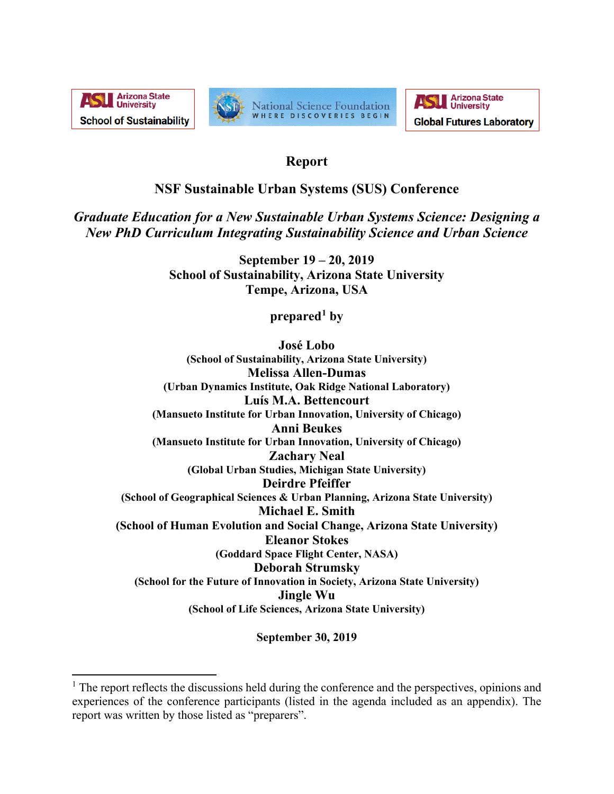





# **Report**

# **NSF Sustainable Urban Systems (SUS) Conference**

*Graduate Education for a New Sustainable Urban Systems Science: Designing a New PhD Curriculum Integrating Sustainability Science and Urban Science*

> **September 19 – 20, 2019 School of Sustainability, Arizona State University Tempe, Arizona, USA**

> > **prepared[1](#page-0-0) by**

**José Lobo (School of Sustainability, Arizona State University) Melissa Allen-Dumas (Urban Dynamics Institute, Oak Ridge National Laboratory) Luís M.A. Bettencourt (Mansueto Institute for Urban Innovation, University of Chicago) Anni Beukes (Mansueto Institute for Urban Innovation, University of Chicago) Zachary Neal (Global Urban Studies, Michigan State University) Deirdre Pfeiffer (School of Geographical Sciences & Urban Planning, Arizona State University) Michael E. Smith (School of Human Evolution and Social Change, Arizona State University) Eleanor Stokes (Goddard Space Flight Center, NASA) Deborah Strumsky (School for the Future of Innovation in Society, Arizona State University) Jingle Wu (School of Life Sciences, Arizona State University)**

**September 30, 2019**

<span id="page-0-0"></span><sup>&</sup>lt;sup>1</sup> The report reflects the discussions held during the conference and the perspectives, opinions and experiences of the conference participants (listed in the agenda included as an appendix). The report was written by those listed as "preparers".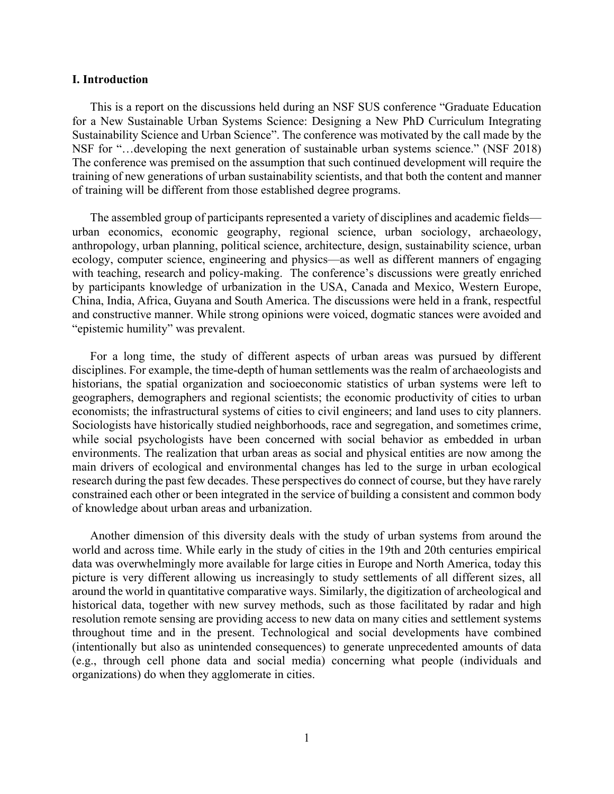#### **I. Introduction**

This is a report on the discussions held during an NSF SUS conference "Graduate Education for a New Sustainable Urban Systems Science: Designing a New PhD Curriculum Integrating Sustainability Science and Urban Science". The conference was motivated by the call made by the NSF for "…developing the next generation of sustainable urban systems science." (NSF 2018) The conference was premised on the assumption that such continued development will require the training of new generations of urban sustainability scientists, and that both the content and manner of training will be different from those established degree programs.

The assembled group of participants represented a variety of disciplines and academic fields urban economics, economic geography, regional science, urban sociology, archaeology, anthropology, urban planning, political science, architecture, design, sustainability science, urban ecology, computer science, engineering and physics—as well as different manners of engaging with teaching, research and policy-making. The conference's discussions were greatly enriched by participants knowledge of urbanization in the USA, Canada and Mexico, Western Europe, China, India, Africa, Guyana and South America. The discussions were held in a frank, respectful and constructive manner. While strong opinions were voiced, dogmatic stances were avoided and "epistemic humility" was prevalent.

For a long time, the study of different aspects of urban areas was pursued by different disciplines. For example, the time-depth of human settlements was the realm of archaeologists and historians, the spatial organization and socioeconomic statistics of urban systems were left to geographers, demographers and regional scientists; the economic productivity of cities to urban economists; the infrastructural systems of cities to civil engineers; and land uses to city planners. Sociologists have historically studied neighborhoods, race and segregation, and sometimes crime, while social psychologists have been concerned with social behavior as embedded in urban environments. The realization that urban areas as social and physical entities are now among the main drivers of ecological and environmental changes has led to the surge in urban ecological research during the past few decades. These perspectives do connect of course, but they have rarely constrained each other or been integrated in the service of building a consistent and common body of knowledge about urban areas and urbanization.

Another dimension of this diversity deals with the study of urban systems from around the world and across time. While early in the study of cities in the 19th and 20th centuries empirical data was overwhelmingly more available for large cities in Europe and North America, today this picture is very different allowing us increasingly to study settlements of all different sizes, all around the world in quantitative comparative ways. Similarly, the digitization of archeological and historical data, together with new survey methods, such as those facilitated by radar and high resolution remote sensing are providing access to new data on many cities and settlement systems throughout time and in the present. Technological and social developments have combined (intentionally but also as unintended consequences) to generate unprecedented amounts of data (e.g., through cell phone data and social media) concerning what people (individuals and organizations) do when they agglomerate in cities.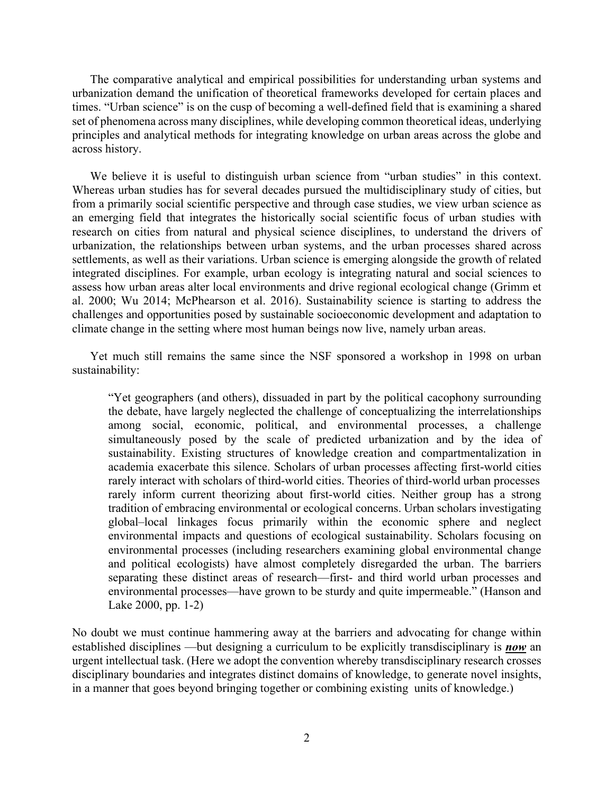The comparative analytical and empirical possibilities for understanding urban systems and urbanization demand the unification of theoretical frameworks developed for certain places and times. "Urban science" is on the cusp of becoming a well-defined field that is examining a shared set of phenomena across many disciplines, while developing common theoretical ideas, underlying principles and analytical methods for integrating knowledge on urban areas across the globe and across history.

We believe it is useful to distinguish urban science from "urban studies" in this context. Whereas urban studies has for several decades pursued the multidisciplinary study of cities, but from a primarily social scientific perspective and through case studies, we view urban science as an emerging field that integrates the historically social scientific focus of urban studies with research on cities from natural and physical science disciplines, to understand the drivers of urbanization, the relationships between urban systems, and the urban processes shared across settlements, as well as their variations. Urban science is emerging alongside the growth of related integrated disciplines. For example, urban ecology is integrating natural and social sciences to assess how urban areas alter local environments and drive regional ecological change (Grimm et al. 2000; Wu 2014; McPhearson et al. 2016). Sustainability science is starting to address the challenges and opportunities posed by sustainable socioeconomic development and adaptation to climate change in the setting where most human beings now live, namely urban areas.

Yet much still remains the same since the NSF sponsored a workshop in 1998 on urban sustainability:

"Yet geographers (and others), dissuaded in part by the political cacophony surrounding the debate, have largely neglected the challenge of conceptualizing the interrelationships among social, economic, political, and environmental processes, a challenge simultaneously posed by the scale of predicted urbanization and by the idea of sustainability. Existing structures of knowledge creation and compartmentalization in academia exacerbate this silence. Scholars of urban processes affecting first-world cities rarely interact with scholars of third-world cities. Theories of third-world urban processes rarely inform current theorizing about first-world cities. Neither group has a strong tradition of embracing environmental or ecological concerns. Urban scholars investigating global–local linkages focus primarily within the economic sphere and neglect environmental impacts and questions of ecological sustainability. Scholars focusing on environmental processes (including researchers examining global environmental change and political ecologists) have almost completely disregarded the urban. The barriers separating these distinct areas of research—first- and third world urban processes and environmental processes—have grown to be sturdy and quite impermeable." (Hanson and Lake 2000, pp. 1-2)

No doubt we must continue hammering away at the barriers and advocating for change within established disciplines —but designing a curriculum to be explicitly transdisciplinary is *now* an urgent intellectual task. (Here we adopt the convention whereby transdisciplinary research crosses disciplinary boundaries and integrates distinct domains of knowledge, to generate novel insights, in a manner that goes beyond bringing together or combining existing units of knowledge.)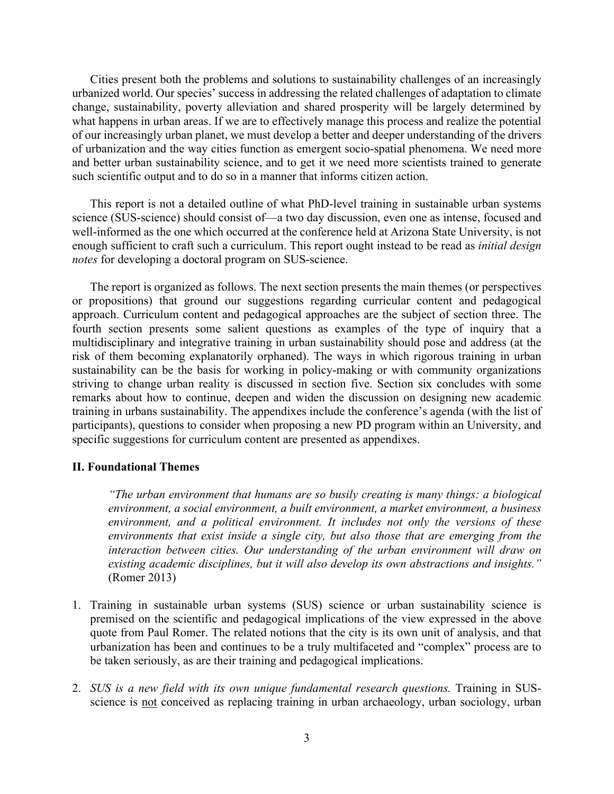Cities present both the problems and solutions to sustainability challenges of an increasingly urbanized world. Our species' success in addressing the related challenges of adaptation to climate change, sustainability, poverty alleviation and shared prosperity will be largely determined by what happens in urban areas. If we are to effectively manage this process and realize the potential of our increasingly urban planet, we must develop a better and deeper understanding of the drivers of urbanization and the way cities function as emergent socio-spatial phenomena. We need more and better urban sustainability science, and to get it we need more scientists trained to generate such scientific output and to do so in a manner that informs citizen action.

This report is not a detailed outline of what PhD-level training in sustainable urban systems science (SUS-science) should consist of—a two day discussion, even one as intense, focused and well-informed as the one which occurred at the conference held at Arizona State University, is not enough sufficient to craft such a curriculum. This report ought instead to be read as *initial design notes* for developing a doctoral program on SUS-science.

The report is organized as follows. The next section presents the main themes (or perspectives or propositions) that ground our suggestions regarding curricular content and pedagogical approach. Curriculum content and pedagogical approaches are the subject of section three. The fourth section presents some salient questions as examples of the type of inquiry that a multidisciplinary and integrative training in urban sustainability should pose and address (at the risk of them becoming explanatorily orphaned). The ways in which rigorous training in urban sustainability can be the basis for working in policy-making or with community organizations striving to change urban reality is discussed in section five. Section six concludes with some remarks about how to continue, deepen and widen the discussion on designing new academic training in urbans sustainability. The appendixes include the conference's agenda (with the list of participants), questions to consider when proposing a new PD program within an University, and specific suggestions for curriculum content are presented as appendixes.

#### **II. Foundational Themes**

*"The urban environment that humans are so busily creating is many things: a biological environment, a social environment, a built environment, a market environment, a business environment, and a political environment. It includes not only the versions of these environments that exist inside a single city, but also those that are emerging from the interaction between cities. Our understanding of the urban environment will draw on existing academic disciplines, but it will also develop its own abstractions and insights."*  (Romer 2013)

- 1. Training in sustainable urban systems (SUS) science or urban sustainability science is premised on the scientific and pedagogical implications of the view expressed in the above quote from Paul Romer. The related notions that the city is its own unit of analysis, and that urbanization has been and continues to be a truly multifaceted and "complex" process are to be taken seriously, as are their training and pedagogical implications.
- 2. *SUS is a new field with its own unique fundamental research questions.* Training in SUSscience is not conceived as replacing training in urban archaeology, urban sociology, urban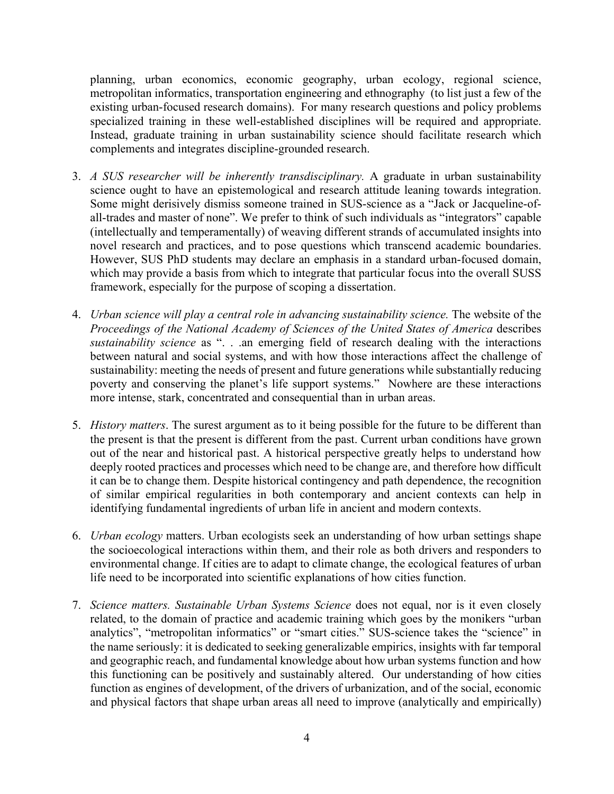planning, urban economics, economic geography, urban ecology, regional science, metropolitan informatics, transportation engineering and ethnography (to list just a few of the existing urban-focused research domains). For many research questions and policy problems specialized training in these well-established disciplines will be required and appropriate. Instead, graduate training in urban sustainability science should facilitate research which complements and integrates discipline-grounded research.

- 3. *A SUS researcher will be inherently transdisciplinary.* A graduate in urban sustainability science ought to have an epistemological and research attitude leaning towards integration. Some might derisively dismiss someone trained in SUS-science as a "Jack or Jacqueline-ofall-trades and master of none". We prefer to think of such individuals as "integrators" capable (intellectually and temperamentally) of weaving different strands of accumulated insights into novel research and practices, and to pose questions which transcend academic boundaries. However, SUS PhD students may declare an emphasis in a standard urban-focused domain, which may provide a basis from which to integrate that particular focus into the overall SUSS framework, especially for the purpose of scoping a dissertation.
- 4. *Urban science will play a central role in advancing sustainability science.* The website of the *Proceedings of the National Academy of Sciences of the United States of America* describes *sustainability science* as ". . .an emerging field of research dealing with the interactions between natural and social systems, and with how those interactions affect the challenge of sustainability: meeting the needs of present and future generations while substantially reducing poverty and conserving the planet's life support systems." Nowhere are these interactions more intense, stark, concentrated and consequential than in urban areas.
- 5. *History matters*. The surest argument as to it being possible for the future to be different than the present is that the present is different from the past. Current urban conditions have grown out of the near and historical past. A historical perspective greatly helps to understand how deeply rooted practices and processes which need to be change are, and therefore how difficult it can be to change them. Despite historical contingency and path dependence, the recognition of similar empirical regularities in both contemporary and ancient contexts can help in identifying fundamental ingredients of urban life in ancient and modern contexts.
- 6. *Urban ecology* matters. Urban ecologists seek an understanding of how urban settings shape the socioecological interactions within them, and their role as both drivers and responders to environmental change. If cities are to adapt to climate change, the ecological features of urban life need to be incorporated into scientific explanations of how cities function.
- 7. *Science matters. Sustainable Urban Systems Science* does not equal, nor is it even closely related, to the domain of practice and academic training which goes by the monikers "urban analytics", "metropolitan informatics" or "smart cities." SUS-science takes the "science" in the name seriously: it is dedicated to seeking generalizable empirics, insights with far temporal and geographic reach, and fundamental knowledge about how urban systems function and how this functioning can be positively and sustainably altered. Our understanding of how cities function as engines of development, of the drivers of urbanization, and of the social, economic and physical factors that shape urban areas all need to improve (analytically and empirically)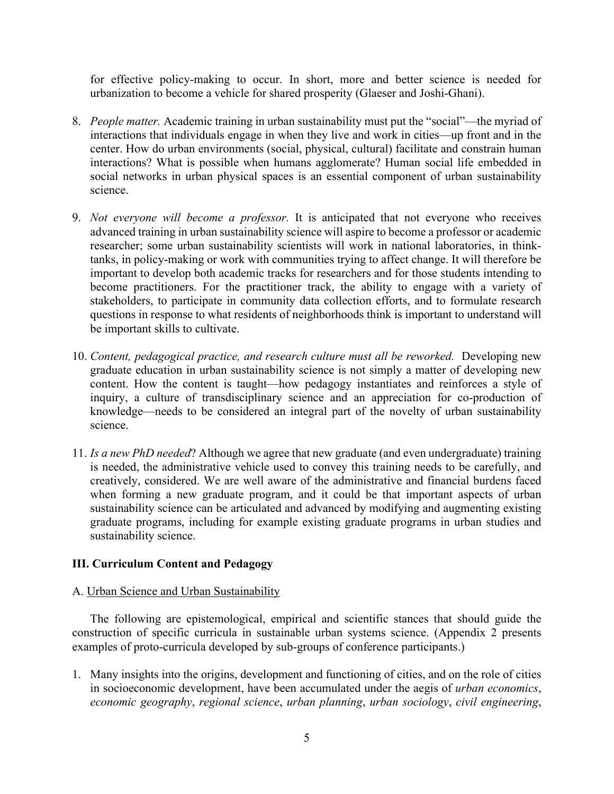for effective policy-making to occur. In short, more and better science is needed for urbanization to become a vehicle for shared prosperity (Glaeser and Joshi-Ghani).

- 8. *People matter.* Academic training in urban sustainability must put the "social"—the myriad of interactions that individuals engage in when they live and work in cities—up front and in the center. How do urban environments (social, physical, cultural) facilitate and constrain human interactions? What is possible when humans agglomerate? Human social life embedded in social networks in urban physical spaces is an essential component of urban sustainability science.
- 9. *Not everyone will become a professor.* It is anticipated that not everyone who receives advanced training in urban sustainability science will aspire to become a professor or academic researcher; some urban sustainability scientists will work in national laboratories, in thinktanks, in policy-making or work with communities trying to affect change. It will therefore be important to develop both academic tracks for researchers and for those students intending to become practitioners. For the practitioner track, the ability to engage with a variety of stakeholders, to participate in community data collection efforts, and to formulate research questions in response to what residents of neighborhoods think is important to understand will be important skills to cultivate.
- 10. *Content, pedagogical practice, and research culture must all be reworked.* Developing new graduate education in urban sustainability science is not simply a matter of developing new content. How the content is taught—how pedagogy instantiates and reinforces a style of inquiry, a culture of transdisciplinary science and an appreciation for co-production of knowledge—needs to be considered an integral part of the novelty of urban sustainability science.
- 11. *Is a new PhD needed*? Although we agree that new graduate (and even undergraduate) training is needed, the administrative vehicle used to convey this training needs to be carefully, and creatively, considered. We are well aware of the administrative and financial burdens faced when forming a new graduate program, and it could be that important aspects of urban sustainability science can be articulated and advanced by modifying and augmenting existing graduate programs, including for example existing graduate programs in urban studies and sustainability science.

### **III. Curriculum Content and Pedagogy**

#### A. Urban Science and Urban Sustainability

The following are epistemological, empirical and scientific stances that should guide the construction of specific curricula in sustainable urban systems science. (Appendix 2 presents examples of proto-curricula developed by sub-groups of conference participants.)

1. Many insights into the origins, development and functioning of cities, and on the role of cities in socioeconomic development, have been accumulated under the aegis of *urban economics*, *economic geography*, *regional science*, *urban planning*, *urban sociology*, *civil engineering*,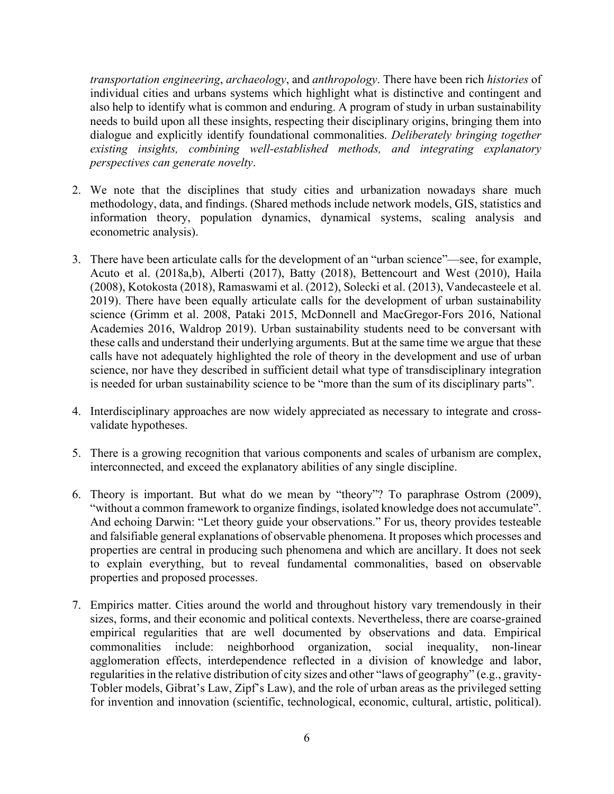*transportation engineering*, *archaeology*, and *anthropology*. There have been rich *histories* of individual cities and urbans systems which highlight what is distinctive and contingent and also help to identify what is common and enduring. A program of study in urban sustainability needs to build upon all these insights, respecting their disciplinary origins, bringing them into dialogue and explicitly identify foundational commonalities. *Deliberately bringing together existing insights, combining well-established methods, and integrating explanatory perspectives can generate novelty*.

- 2. We note that the disciplines that study cities and urbanization nowadays share much methodology, data, and findings. (Shared methods include network models, GIS, statistics and information theory, population dynamics, dynamical systems, scaling analysis and econometric analysis).
- 3. There have been articulate calls for the development of an "urban science"—see, for example, Acuto et al. (2018a,b), Alberti (2017), Batty (2018), Bettencourt and West (2010), Haila (2008), Kotokosta (2018), Ramaswami et al. (2012), Solecki et al. (2013), Vandecasteele et al. 2019). There have been equally articulate calls for the development of urban sustainability science (Grimm et al. 2008, Pataki 2015, McDonnell and MacGregor-Fors 2016, National Academies 2016, Waldrop 2019). Urban sustainability students need to be conversant with these calls and understand their underlying arguments. But at the same time we argue that these calls have not adequately highlighted the role of theory in the development and use of urban science, nor have they described in sufficient detail what type of transdisciplinary integration is needed for urban sustainability science to be "more than the sum of its disciplinary parts".
- 4. Interdisciplinary approaches are now widely appreciated as necessary to integrate and crossvalidate hypotheses.
- 5. There is a growing recognition that various components and scales of urbanism are complex, interconnected, and exceed the explanatory abilities of any single discipline.
- 6. Theory is important. But what do we mean by "theory"? To paraphrase Ostrom (2009), "without a common framework to organize findings, isolated knowledge does not accumulate". And echoing Darwin: "Let theory guide your observations." For us, theory provides testeable and falsifiable general explanations of observable phenomena. It proposes which processes and properties are central in producing such phenomena and which are ancillary. It does not seek to explain everything, but to reveal fundamental commonalities, based on observable properties and proposed processes.
- 7. Empirics matter. Cities around the world and throughout history vary tremendously in their sizes, forms, and their economic and political contexts. Nevertheless, there are coarse-grained empirical regularities that are well documented by observations and data. Empirical commonalities include: neighborhood organization, social inequality, non-linear agglomeration effects, interdependence reflected in a division of knowledge and labor, regularities in the relative distribution of city sizes and other "laws of geography" (e.g., gravity-Tobler models, Gibrat's Law, Zipf's Law), and the role of urban areas as the privileged setting for invention and innovation (scientific, technological, economic, cultural, artistic, political).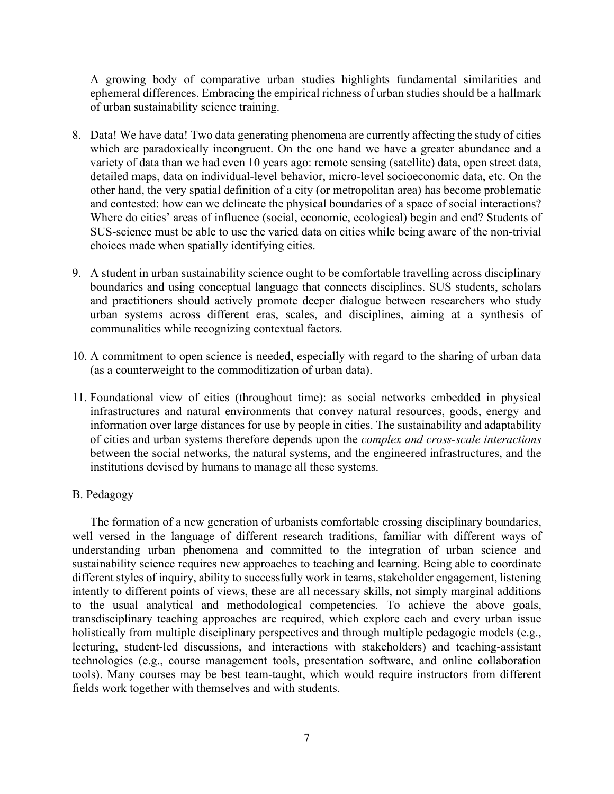A growing body of comparative urban studies highlights fundamental similarities and ephemeral differences. Embracing the empirical richness of urban studies should be a hallmark of urban sustainability science training.

- 8. Data! We have data! Two data generating phenomena are currently affecting the study of cities which are paradoxically incongruent. On the one hand we have a greater abundance and a variety of data than we had even 10 years ago: remote sensing (satellite) data, open street data, detailed maps, data on individual-level behavior, micro-level socioeconomic data, etc. On the other hand, the very spatial definition of a city (or metropolitan area) has become problematic and contested: how can we delineate the physical boundaries of a space of social interactions? Where do cities' areas of influence (social, economic, ecological) begin and end? Students of SUS-science must be able to use the varied data on cities while being aware of the non-trivial choices made when spatially identifying cities.
- 9. A student in urban sustainability science ought to be comfortable travelling across disciplinary boundaries and using conceptual language that connects disciplines. SUS students, scholars and practitioners should actively promote deeper dialogue between researchers who study urban systems across different eras, scales, and disciplines, aiming at a synthesis of communalities while recognizing contextual factors.
- 10. A commitment to open science is needed, especially with regard to the sharing of urban data (as a counterweight to the commoditization of urban data).
- 11. Foundational view of cities (throughout time): as social networks embedded in physical infrastructures and natural environments that convey natural resources, goods, energy and information over large distances for use by people in cities. The sustainability and adaptability of cities and urban systems therefore depends upon the *complex and cross-scale interactions* between the social networks, the natural systems, and the engineered infrastructures, and the institutions devised by humans to manage all these systems.

#### B. Pedagogy

The formation of a new generation of urbanists comfortable crossing disciplinary boundaries, well versed in the language of different research traditions, familiar with different ways of understanding urban phenomena and committed to the integration of urban science and sustainability science requires new approaches to teaching and learning. Being able to coordinate different styles of inquiry, ability to successfully work in teams, stakeholder engagement, listening intently to different points of views, these are all necessary skills, not simply marginal additions to the usual analytical and methodological competencies. To achieve the above goals, transdisciplinary teaching approaches are required, which explore each and every urban issue holistically from multiple disciplinary perspectives and through multiple pedagogic models (e.g., lecturing, student-led discussions, and interactions with stakeholders) and teaching-assistant technologies (e.g., course management tools, presentation software, and online collaboration tools). Many courses may be best team-taught, which would require instructors from different fields work together with themselves and with students.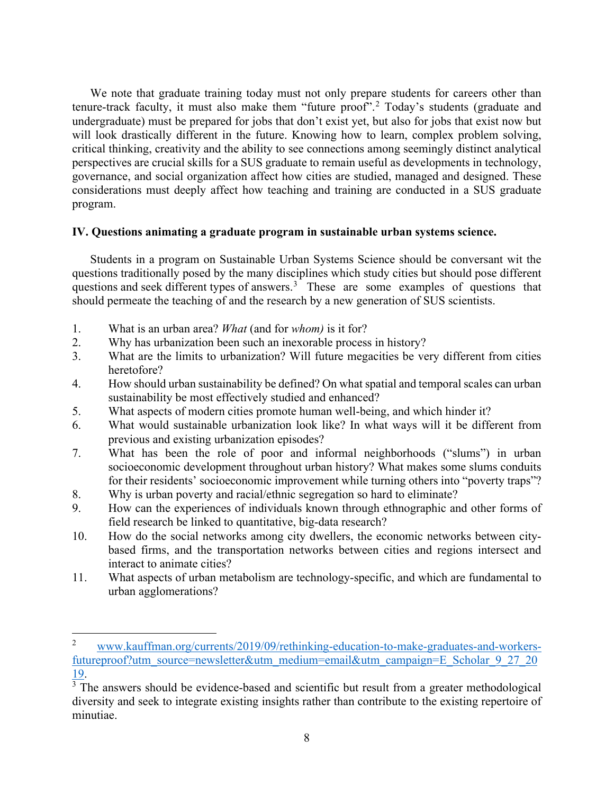We note that graduate training today must not only prepare students for careers other than tenure-track faculty, it must also make them "future proof".<sup>[2](#page-8-0)</sup> Today's students (graduate and undergraduate) must be prepared for jobs that don't exist yet, but also for jobs that exist now but will look drastically different in the future. Knowing how to learn, complex problem solving, critical thinking, creativity and the ability to see connections among seemingly distinct analytical perspectives are crucial skills for a SUS graduate to remain useful as developments in technology, governance, and social organization affect how cities are studied, managed and designed. These considerations must deeply affect how teaching and training are conducted in a SUS graduate program.

### **IV. Questions animating a graduate program in sustainable urban systems science.**

Students in a program on Sustainable Urban Systems Science should be conversant wit the questions traditionally posed by the many disciplines which study cities but should pose different questions and seek different types of answers. $3<sup>3</sup>$  $3<sup>3</sup>$  These are some examples of questions that should permeate the teaching of and the research by a new generation of SUS scientists.

- 1. What is an urban area? *What* (and for *whom)* is it for?
- 2. Why has urbanization been such an inexorable process in history?
- 3. What are the limits to urbanization? Will future megacities be very different from cities heretofore?
- 4. How should urban sustainability be defined? On what spatial and temporal scales can urban sustainability be most effectively studied and enhanced?
- 5. What aspects of modern cities promote human well-being, and which hinder it?
- 6. What would sustainable urbanization look like? In what ways will it be different from previous and existing urbanization episodes?
- 7. What has been the role of poor and informal neighborhoods ("slums") in urban socioeconomic development throughout urban history? What makes some slums conduits for their residents' socioeconomic improvement while turning others into "poverty traps"?
- 8. Why is urban poverty and racial/ethnic segregation so hard to eliminate?
- 9. How can the experiences of individuals known through ethnographic and other forms of field research be linked to quantitative, big-data research?
- 10. How do the social networks among city dwellers, the economic networks between citybased firms, and the transportation networks between cities and regions intersect and interact to animate cities?
- 11. What aspects of urban metabolism are technology-specific, and which are fundamental to urban agglomerations?

<span id="page-8-0"></span><sup>&</sup>lt;sup>2</sup> [www.kauffman.org/currents/2019/09/rethinking-education-to-make-graduates-and-workers](http://www.kauffman.org/currents/2019/09/rethinking-education-to-make-graduates-and-workers-futureproof?utm_source=newsletter&utm_medium=email&utm_campaign=E_Scholar_9_27_2019)[futureproof?utm\\_source=newsletter&utm\\_medium=email&utm\\_campaign=E\\_Scholar\\_9\\_27\\_20](http://www.kauffman.org/currents/2019/09/rethinking-education-to-make-graduates-and-workers-futureproof?utm_source=newsletter&utm_medium=email&utm_campaign=E_Scholar_9_27_2019)  $\frac{19}{3}$ .<br><sup>3</sup> The answers should be evidence-based and scientific but result from a greater methodological

<span id="page-8-1"></span>diversity and seek to integrate existing insights rather than contribute to the existing repertoire of minutiae.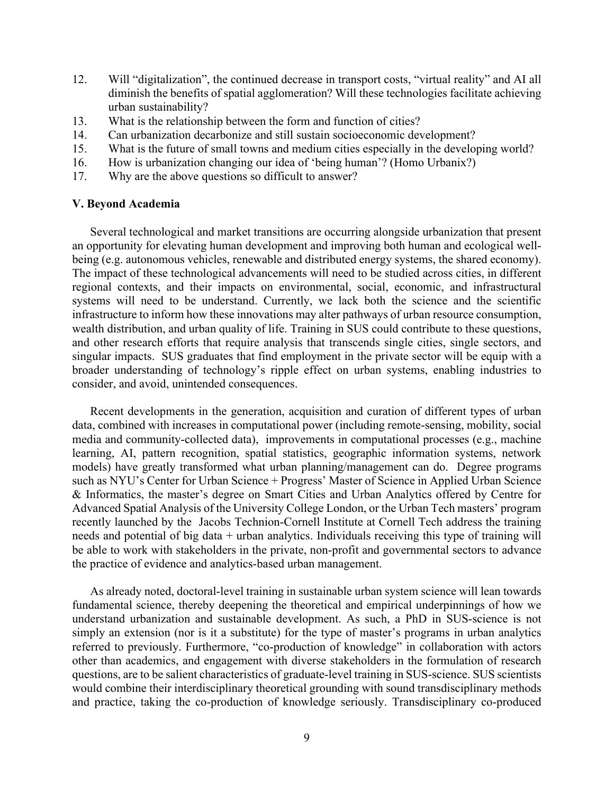- 12. Will "digitalization", the continued decrease in transport costs, "virtual reality" and AI all diminish the benefits of spatial agglomeration? Will these technologies facilitate achieving urban sustainability?
- 13. What is the relationship between the form and function of cities?
- 14. Can urbanization decarbonize and still sustain socioeconomic development?
- 15. What is the future of small towns and medium cities especially in the developing world?
- 16. How is urbanization changing our idea of 'being human'? (Homo Urbanix?)
- 17. Why are the above questions so difficult to answer?

#### **V. Beyond Academia**

Several technological and market transitions are occurring alongside urbanization that present an opportunity for elevating human development and improving both human and ecological wellbeing (e.g. autonomous vehicles, renewable and distributed energy systems, the shared economy). The impact of these technological advancements will need to be studied across cities, in different regional contexts, and their impacts on environmental, social, economic, and infrastructural systems will need to be understand. Currently, we lack both the science and the scientific infrastructure to inform how these innovations may alter pathways of urban resource consumption, wealth distribution, and urban quality of life. Training in SUS could contribute to these questions, and other research efforts that require analysis that transcends single cities, single sectors, and singular impacts. SUS graduates that find employment in the private sector will be equip with a broader understanding of technology's ripple effect on urban systems, enabling industries to consider, and avoid, unintended consequences.

Recent developments in the generation, acquisition and curation of different types of urban data, combined with increases in computational power (including remote-sensing, mobility, social media and community-collected data), improvements in computational processes (e.g., machine learning, AI, pattern recognition, spatial statistics, geographic information systems, network models) have greatly transformed what urban planning/management can do. Degree programs such as NYU's Center for Urban Science + Progress' Master of Science in Applied Urban Science & Informatics, the master's degree on Smart Cities and Urban Analytics offered by Centre for Advanced Spatial Analysis of the University College London, or the Urban Tech masters' program recently launched by the Jacobs Technion-Cornell Institute at Cornell Tech address the training needs and potential of big data + urban analytics. Individuals receiving this type of training will be able to work with stakeholders in the private, non-profit and governmental sectors to advance the practice of evidence and analytics-based urban management.

As already noted, doctoral-level training in sustainable urban system science will lean towards fundamental science, thereby deepening the theoretical and empirical underpinnings of how we understand urbanization and sustainable development. As such, a PhD in SUS-science is not simply an extension (nor is it a substitute) for the type of master's programs in urban analytics referred to previously. Furthermore, "co-production of knowledge" in collaboration with actors other than academics, and engagement with diverse stakeholders in the formulation of research questions, are to be salient characteristics of graduate-level training in SUS-science. SUS scientists would combine their interdisciplinary theoretical grounding with sound transdisciplinary methods and practice, taking the co-production of knowledge seriously. Transdisciplinary co-produced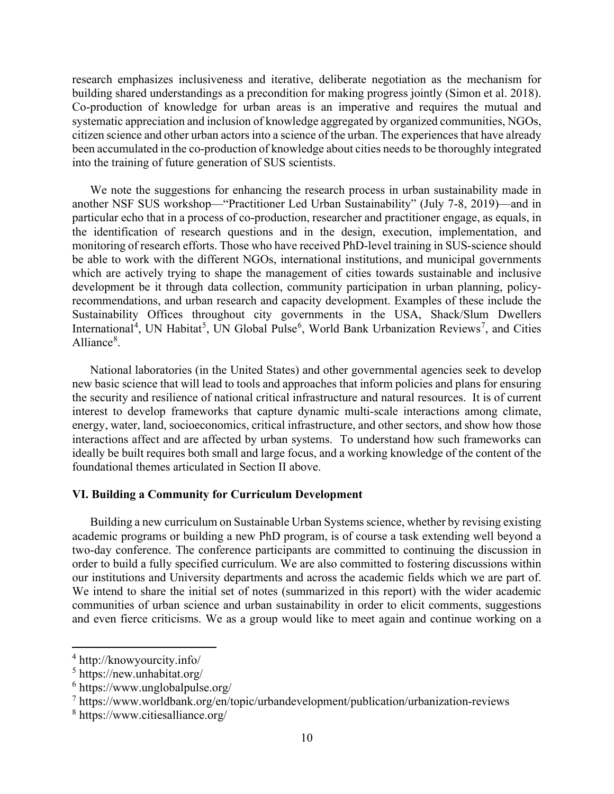research emphasizes inclusiveness and iterative, deliberate negotiation as the mechanism for building shared understandings as a precondition for making progress jointly (Simon et al. 2018). Co-production of knowledge for urban areas is an imperative and requires the mutual and systematic appreciation and inclusion of knowledge aggregated by organized communities, NGOs, citizen science and other urban actors into a science of the urban. The experiences that have already been accumulated in the co-production of knowledge about cities needs to be thoroughly integrated into the training of future generation of SUS scientists.

We note the suggestions for enhancing the research process in urban sustainability made in another NSF SUS workshop—"Practitioner Led Urban Sustainability" (July 7-8, 2019)—and in particular echo that in a process of co-production, researcher and practitioner engage, as equals, in the identification of research questions and in the design, execution, implementation, and monitoring of research efforts. Those who have received PhD-level training in SUS-science should be able to work with the different NGOs, international institutions, and municipal governments which are actively trying to shape the management of cities towards sustainable and inclusive development be it through data collection, community participation in urban planning, policyrecommendations, and urban research and capacity development. Examples of these include the Sustainability Offices throughout city governments in the USA, Shack/Slum Dwellers International<sup>[4](#page-10-0)</sup>, UN Habitat<sup>[5](#page-10-1)</sup>, UN Global Pulse<sup>[6](#page-10-2)</sup>, World Bank Urbanization Reviews<sup>[7](#page-10-3)</sup>, and Cities Alliance<sup>[8](#page-10-4)</sup>.

National laboratories (in the United States) and other governmental agencies seek to develop new basic science that will lead to tools and approaches that inform policies and plans for ensuring the security and resilience of national critical infrastructure and natural resources. It is of current interest to develop frameworks that capture dynamic multi-scale interactions among climate, energy, water, land, socioeconomics, critical infrastructure, and other sectors, and show how those interactions affect and are affected by urban systems. To understand how such frameworks can ideally be built requires both small and large focus, and a working knowledge of the content of the foundational themes articulated in Section II above.

#### **VI. Building a Community for Curriculum Development**

Building a new curriculum on Sustainable Urban Systems science, whether by revising existing academic programs or building a new PhD program, is of course a task extending well beyond a two-day conference. The conference participants are committed to continuing the discussion in order to build a fully specified curriculum. We are also committed to fostering discussions within our institutions and University departments and across the academic fields which we are part of. We intend to share the initial set of notes (summarized in this report) with the wider academic communities of urban science and urban sustainability in order to elicit comments, suggestions and even fierce criticisms. We as a group would like to meet again and continue working on a

<span id="page-10-0"></span><sup>4</sup> http://knowyourcity.info/

<span id="page-10-1"></span><sup>5</sup> https://new.unhabitat.org/

<span id="page-10-2"></span> $6$  https://www.unglobalpulse.org/

<span id="page-10-3"></span><sup>7</sup> https://www.worldbank.org/en/topic/urbandevelopment/publication/urbanization-reviews

<span id="page-10-4"></span><sup>8</sup> https://www.citiesalliance.org/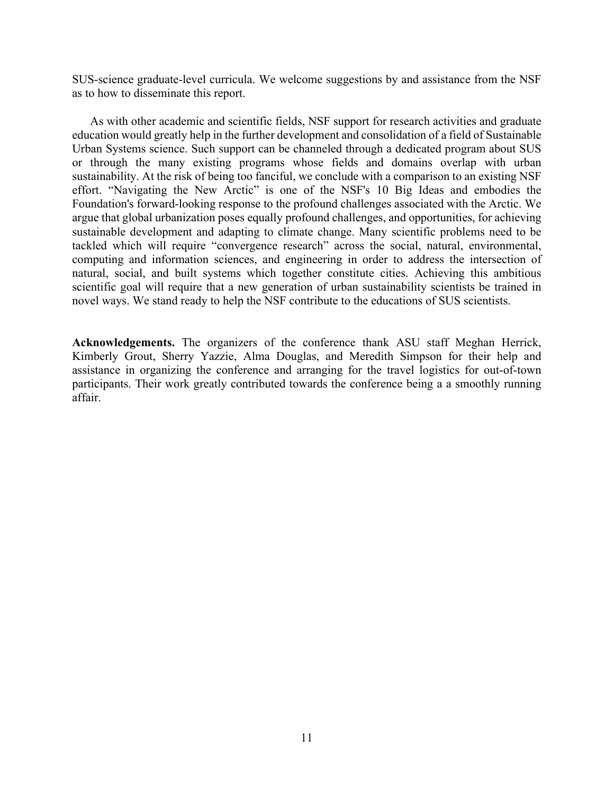SUS-science graduate-level curricula. We welcome suggestions by and assistance from the NSF as to how to disseminate this report.

As with other academic and scientific fields, NSF support for research activities and graduate education would greatly help in the further development and consolidation of a field of Sustainable Urban Systems science. Such support can be channeled through a dedicated program about SUS or through the many existing programs whose fields and domains overlap with urban sustainability. At the risk of being too fanciful, we conclude with a comparison to an existing NSF effort. "Navigating the New Arctic" is one of the NSF's 10 Big Ideas and embodies the Foundation's forward-looking response to the profound challenges associated with the Arctic. We argue that global urbanization poses equally profound challenges, and opportunities, for achieving sustainable development and adapting to climate change. Many scientific problems need to be tackled which will require "convergence research" across the social, natural, environmental, computing and information sciences, and engineering in order to address the intersection of natural, social, and built systems which together constitute cities. Achieving this ambitious scientific goal will require that a new generation of urban sustainability scientists be trained in novel ways. We stand ready to help the NSF contribute to the educations of SUS scientists.

**Acknowledgements.** The organizers of the conference thank ASU staff Meghan Herrick, Kimberly Grout, Sherry Yazzie, Alma Douglas, and Meredith Simpson for their help and assistance in organizing the conference and arranging for the travel logistics for out-of-town participants. Their work greatly contributed towards the conference being a a smoothly running affair.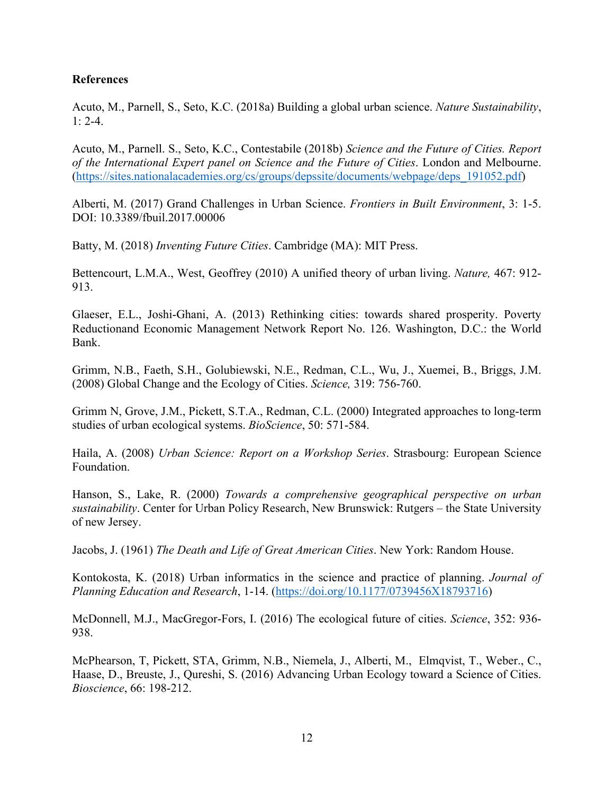### **References**

Acuto, M., Parnell, S., Seto, K.C. (2018a) Building a global urban science. *Nature Sustainability*, 1: 2-4.

Acuto, M., Parnell. S., Seto, K.C., Contestabile (2018b) *Science and the Future of Cities. Report of the International Expert panel on Science and the Future of Cities*. London and Melbourne. [\(https://sites.nationalacademies.org/cs/groups/depssite/documents/webpage/deps\\_191052.pdf\)](https://sites.nationalacademies.org/cs/groups/depssite/documents/webpage/deps_191052.pdf)

Alberti, M. (2017) Grand Challenges in Urban Science. *Frontiers in Built Environment*, 3: 1-5. DOI: 10.3389/fbuil.2017.00006

Batty, M. (2018) *Inventing Future Cities*. Cambridge (MA): MIT Press.

Bettencourt, L.M.A., West, Geoffrey (2010) A unified theory of urban living. *Nature,* 467: 912- 913.

Glaeser, E.L., Joshi-Ghani, A. (2013) Rethinking cities: towards shared prosperity. Poverty Reductionand Economic Management Network Report No. 126. Washington, D.C.: the World Bank.

Grimm, N.B., Faeth, S.H., Golubiewski, N.E., Redman, C.L., Wu, J., Xuemei, B., Briggs, J.M. (2008) Global Change and the Ecology of Cities. *Science,* 319: 756-760.

Grimm N, Grove, J.M., Pickett, S.T.A., Redman, C.L. (2000) Integrated approaches to long-term studies of urban ecological systems. *BioScience*, 50: 571-584.

Haila, A. (2008) *Urban Science: Report on a Workshop Series*. Strasbourg: European Science Foundation.

Hanson, S., Lake, R. (2000) *Towards a comprehensive geographical perspective on urban sustainability*. Center for Urban Policy Research, New Brunswick: Rutgers – the State University of new Jersey.

Jacobs, J. (1961) *The Death and Life of Great American Cities*. New York: Random House.

Kontokosta, K. (2018) Urban informatics in the science and practice of planning. *Journal of Planning Education and Research*, 1-14. [\(https://doi.org/10.1177/0739456X18793716\)](https://doi.org/10.1177/0739456X18793716)

McDonnell, M.J., MacGregor-Fors, I. (2016) The ecological future of cities. *Science*, 352: 936- 938.

McPhearson, T, Pickett, STA, Grimm, N.B., Niemela, J., Alberti, M., Elmqvist, T., Weber., C., Haase, D., Breuste, J., Qureshi, S. (2016) Advancing Urban Ecology toward a Science of Cities. *Bioscience*, 66: 198-212.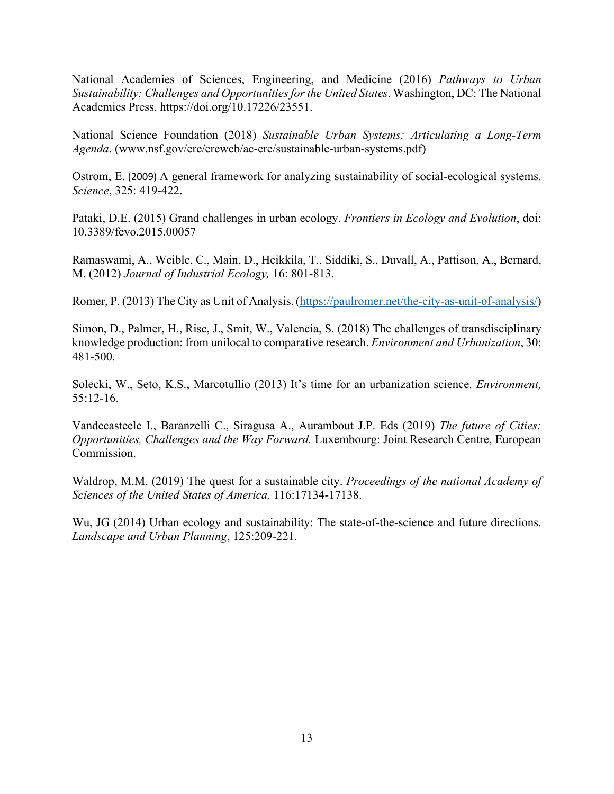National Academies of Sciences, Engineering, and Medicine (2016) *Pathways to Urban Sustainability: Challenges and Opportunities for the United States*. Washington, DC: The National Academies Press. https://doi.org/10.17226/23551.

National Science Foundation (2018) *Sustainable Urban Systems: Articulating a Long-Term Agenda*. (www.nsf.gov/ere/ereweb/ac-ere/sustainable-urban-systems.pdf)

Ostrom, E. (2009) A general framework for analyzing sustainability of social-ecological systems. *Science*, 325: 419-422.

Pataki, D.E. (2015) Grand challenges in urban ecology. *Frontiers in Ecology and Evolution*, doi: 10.3389/fevo.2015.00057

Ramaswami, A., Weible, C., Main, D., Heikkila, T., Siddiki, S., Duvall, A., Pattison, A., Bernard, M. (2012) *Journal of Industrial Ecology,* 16: 801-813.

Romer, P. (2013) The City as Unit of Analysis.[\(https://paulromer.net/the-city-as-unit-of-analysis/\)](https://paulromer.net/the-city-as-unit-of-analysis/)

Simon, D., Palmer, H., Rise, J., Smit, W., Valencia, S. (2018) The challenges of transdisciplinary knowledge production: from unilocal to comparative research. *Environment and Urbanization*, 30: 481-500.

Solecki, W., Seto, K.S., Marcotullio (2013) It's time for an urbanization science. *Environment,*  55:12-16.

Vandecasteele I., Baranzelli C., Siragusa A., Aurambout J.P. Eds (2019) *The future of Cities: Opportunities, Challenges and the Way Forward.* Luxembourg: Joint Research Centre, European Commission.

Waldrop, M.M. (2019) The quest for a sustainable city. *Proceedings of the national Academy of Sciences of the United States of America,* 116:17134-17138.

Wu, JG (2014) Urban ecology and sustainability: The state-of-the-science and future directions. *Landscape and Urban Planning*, 125:209-221.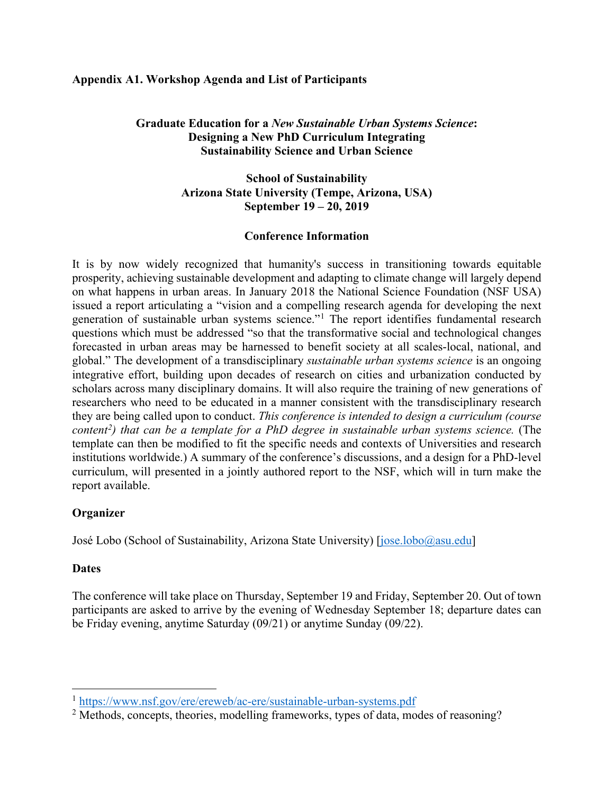### **Appendix A1. Workshop Agenda and List of Participants**

### **Graduate Education for a** *New Sustainable Urban Systems Science***: Designing a New PhD Curriculum Integrating Sustainability Science and Urban Science**

### **School of Sustainability Arizona State University (Tempe, Arizona, USA) September 19 – 20, 2019**

### **Conference Information**

It is by now widely recognized that humanity's success in transitioning towards equitable prosperity, achieving sustainable development and adapting to climate change will largely depend on what happens in urban areas. In January 2018 the National Science Foundation (NSF USA) issued a report articulating a "vision and a compelling research agenda for developing the next generation of sustainable urban systems science."[1](#page-14-0) The report identifies fundamental research questions which must be addressed "so that the transformative social and technological changes forecasted in urban areas may be harnessed to benefit society at all scales-local, national, and global." The development of a transdisciplinary *sustainable urban systems science* is an ongoing integrative effort, building upon decades of research on cities and urbanization conducted by scholars across many disciplinary domains. It will also require the training of new generations of researchers who need to be educated in a manner consistent with the transdisciplinary research they are being called upon to conduct. *This conference is intended to design a curriculum (course content[2](#page-14-1) ) that can be a template for a PhD degree in sustainable urban systems science.* (The template can then be modified to fit the specific needs and contexts of Universities and research institutions worldwide.) A summary of the conference's discussions, and a design for a PhD-level curriculum, will presented in a jointly authored report to the NSF, which will in turn make the report available.

### **Organizer**

José Lobo (School of Sustainability, Arizona State University) [\[jose.lobo@asu.edu\]](mailto:jose.lobo@asu.edu)

#### **Dates**

The conference will take place on Thursday, September 19 and Friday, September 20. Out of town participants are asked to arrive by the evening of Wednesday September 18; departure dates can be Friday evening, anytime Saturday (09/21) or anytime Sunday (09/22).

<span id="page-14-0"></span><sup>1</sup> <https://www.nsf.gov/ere/ereweb/ac-ere/sustainable-urban-systems.pdf>

<span id="page-14-1"></span><sup>&</sup>lt;sup>2</sup> Methods, concepts, theories, modelling frameworks, types of data, modes of reasoning?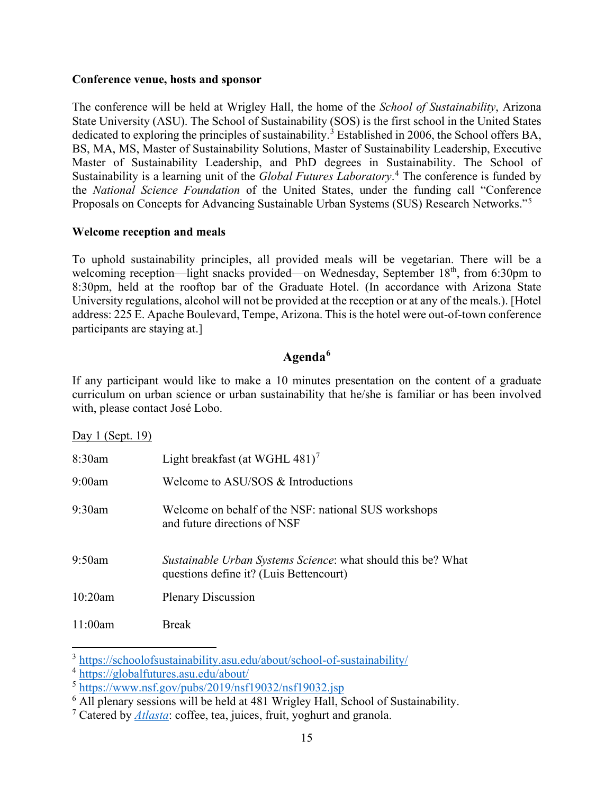#### **Conference venue, hosts and sponsor**

The conference will be held at Wrigley Hall, the home of the *School of Sustainability*, Arizona State University (ASU). The School of Sustainability (SOS) is the first school in the United States dedicated to exploring the principles of sustainability.<sup>[3](#page-15-0)</sup> Established in 2006, the School offers BA, BS, MA, MS, Master of Sustainability Solutions, Master of Sustainability Leadership, Executive Master of Sustainability Leadership, and PhD degrees in Sustainability. The School of Sustainability is a learning unit of the *Global Futures Laboratory*. [4](#page-15-1) The conference is funded by the *National Science Foundation* of the United States, under the funding call "Conference Proposals on Concepts for Advancing Sustainable Urban Systems (SUS) Research Networks."[5](#page-15-2)

#### **Welcome reception and meals**

To uphold sustainability principles, all provided meals will be vegetarian. There will be a welcoming reception—light snacks provided—on Wednesday, September 18<sup>th</sup>, from 6:30pm to 8:30pm, held at the rooftop bar of the Graduate Hotel. (In accordance with Arizona State University regulations, alcohol will not be provided at the reception or at any of the meals.). [Hotel address: 225 E. Apache Boulevard, Tempe, Arizona. This is the hotel were out-of-town conference participants are staying at.]

## **Agenda[6](#page-15-3)**

If any participant would like to make a 10 minutes presentation on the content of a graduate curriculum on urban science or urban sustainability that he/she is familiar or has been involved with, please contact José Lobo.

Day 1 (Sept. 19)

| 8:30am  | Light breakfast (at WGHL 481) <sup>7</sup>                                                                     |
|---------|----------------------------------------------------------------------------------------------------------------|
| 9:00am  | Welcome to ASU/SOS & Introductions                                                                             |
| 9:30am  | Welcome on behalf of the NSF: national SUS workshops<br>and future directions of NSF                           |
| 9:50am  | <i>Sustainable Urban Systems Science:</i> what should this be? What<br>questions define it? (Luis Bettencourt) |
| 10:20am | <b>Plenary Discussion</b>                                                                                      |
| 11:00am | <b>Break</b>                                                                                                   |

<span id="page-15-0"></span><sup>&</sup>lt;sup>3</sup> <https://schoolofsustainability.asu.edu/about/school-of-sustainability/><br><sup>4</sup> https://globalfutures.asu.edu/about/

<span id="page-15-2"></span><span id="page-15-1"></span> $\frac{1}{100}$  <https://www.nsf.gov/pubs/2019/nsf19032/nsf19032.jsp>

<span id="page-15-3"></span> $\overline{6}$  All plenary sessions will be held at 481 Wrigley Hall, School of Sustainability.

<span id="page-15-4"></span><sup>7</sup> Catered by *[Atlasta](http://www.atlastacatering.com/)*: coffee, tea, juices, fruit, yoghurt and granola.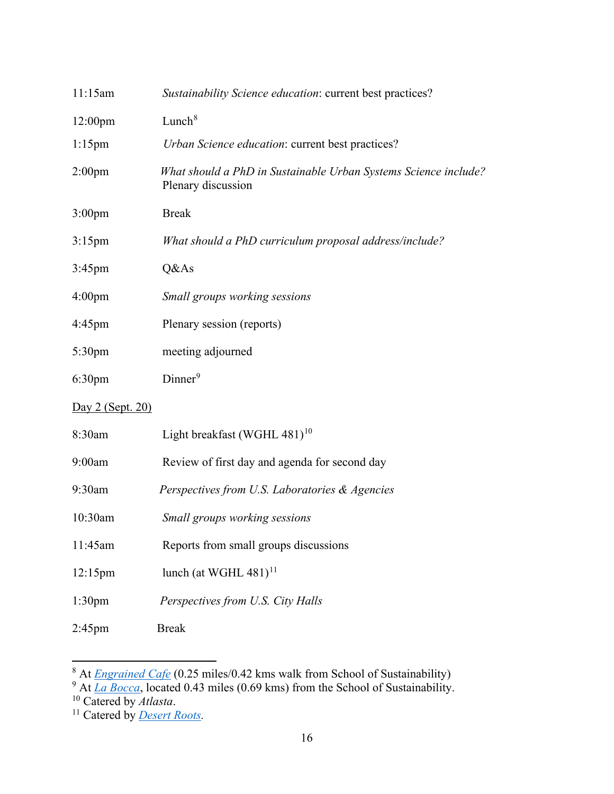| 11:15am            | Sustainability Science education: current best practices?                             |
|--------------------|---------------------------------------------------------------------------------------|
| 12:00pm            | Lunch <sup>8</sup>                                                                    |
| $1:15$ pm          | Urban Science education: current best practices?                                      |
| 2:00 <sub>pm</sub> | What should a PhD in Sustainable Urban Systems Science include?<br>Plenary discussion |
| $3:00$ pm          | <b>Break</b>                                                                          |
| $3:15$ pm          | What should a PhD curriculum proposal address/include?                                |
| $3:45$ pm          | Q&As                                                                                  |
| 4:00 <sub>pm</sub> | Small groups working sessions                                                         |
| $4:45$ pm          | Plenary session (reports)                                                             |
| 5:30 <sub>pm</sub> | meeting adjourned                                                                     |
| 6:30 <sub>pm</sub> | $Dinner^9$                                                                            |
| Day 2 (Sept. 20)   |                                                                                       |
| 8:30am             | Light breakfast (WGHL 481) <sup>10</sup>                                              |
| 9:00am             | Review of first day and agenda for second day                                         |
| 9:30am             | Perspectives from U.S. Laboratories & Agencies                                        |
| 10:30am            | Small groups working sessions                                                         |
| 11:45am            | Reports from small groups discussions                                                 |
| $12:15$ pm         | lunch (at WGHL 481) <sup>11</sup>                                                     |
| 1:30 <sub>pm</sub> | Perspectives from U.S. City Halls                                                     |
| $2:45$ pm          | <b>Break</b>                                                                          |

<span id="page-16-0"></span><sup>8</sup> At *[Engrained Cafe](http://www.engrainedcafe.com/)* (0.25 miles/0.42 kms walk from School of Sustainability)

<span id="page-16-1"></span><sup>&</sup>lt;sup>9</sup> At *[La Bocca](https://tempe.laboccapizzeria.com/)*, located 0.43 miles (0.69 kms) from the School of Sustainability.

<span id="page-16-2"></span><sup>10</sup> Catered by *Atlasta*.

<span id="page-16-3"></span><sup>11</sup> Catered by *[Desert Roots.](https://www.facebook.com/DesertRootsKitchen/)*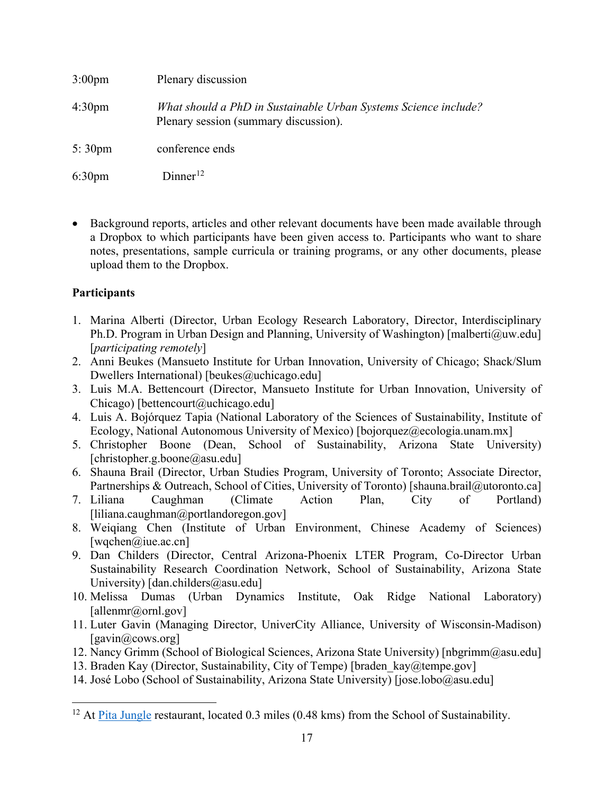| $3:00 \text{pm}$   | Plenary discussion                                                                                       |
|--------------------|----------------------------------------------------------------------------------------------------------|
| 4:30 <sub>pm</sub> | What should a PhD in Sustainable Urban Systems Science include?<br>Plenary session (summary discussion). |
| $5:30 \text{pm}$   | conference ends                                                                                          |
| $6:30 \text{pm}$   | Dinner <sup>12</sup>                                                                                     |

• Background reports, articles and other relevant documents have been made available through a Dropbox to which participants have been given access to. Participants who want to share notes, presentations, sample curricula or training programs, or any other documents, please upload them to the Dropbox.

### **Participants**

- 1. Marina Alberti (Director, Urban Ecology Research Laboratory, Director, Interdisciplinary Ph.D. Program in Urban Design and Planning, University of Washington) [malberti@uw.edu] [*participating remotely*]
- 2. Anni Beukes (Mansueto Institute for Urban Innovation, University of Chicago; Shack/Slum Dwellers International) [beukes@uchicago.edu]
- 3. Luis M.A. Bettencourt (Director, Mansueto Institute for Urban Innovation, University of Chicago) [bettencourt@uchicago.edu]
- 4. Luis A. Bojórquez Tapia (National Laboratory of the Sciences of Sustainability, Institute of Ecology, National Autonomous University of Mexico) [bojorquez@ecologia.unam.mx]
- 5. Christopher Boone (Dean, School of Sustainability, Arizona State University) [christopher.g.boone@asu.edu]
- 6. Shauna Brail (Director, Urban Studies Program, University of Toronto; Associate Director, Partnerships & Outreach, School of Cities, University of Toronto) [shauna.brail@utoronto.ca]
- 7. Liliana Caughman (Climate Action Plan, City of Portland) [liliana.caughman@portlandoregon.gov]
- 8. Weiqiang Chen (Institute of Urban Environment, Chinese Academy of Sciences)  $[wqchen@iue.ac.cn]$
- 9. Dan Childers (Director, Central Arizona-Phoenix LTER Program, Co-Director Urban Sustainability Research Coordination Network, School of Sustainability, Arizona State University) [dan.childers@asu.edu]
- 10. Melissa Dumas (Urban Dynamics Institute, Oak Ridge National Laboratory) [allenmr@ornl.gov]
- 11. Luter Gavin (Managing Director, UniverCity Alliance, University of Wisconsin-Madison) [gavin@cows.org]
- 12. Nancy Grimm (School of Biological Sciences, Arizona State University) [nbgrimm@asu.edu]
- 13. Braden Kay (Director, Sustainability, City of Tempe) [braden kay@tempe.gov]
- 14. José Lobo (School of Sustainability, Arizona State University) [jose.lobo@asu.edu]

<span id="page-17-0"></span><sup>&</sup>lt;sup>12</sup> At [Pita Jungle](http://www.pitajungle.com/locations/tempe-mill/) restaurant, located 0.3 miles (0.48 kms) from the School of Sustainability.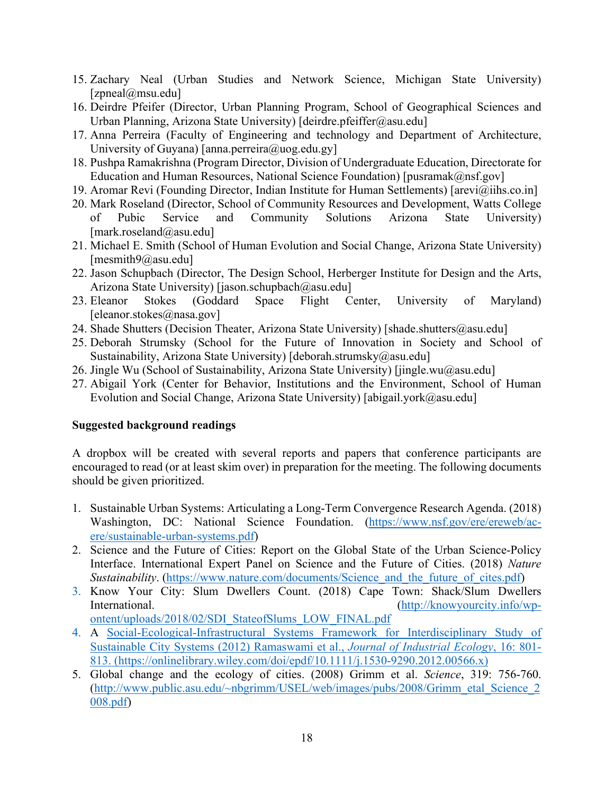- 15. Zachary Neal (Urban Studies and Network Science, Michigan State University) [zpneal@msu.edu]
- 16. Deirdre Pfeifer (Director, Urban Planning Program, School of Geographical Sciences and Urban Planning, Arizona State University) [deirdre.pfeiffer@asu.edu]
- 17. Anna Perreira (Faculty of Engineering and technology and Department of Architecture, University of Guyana) [anna.perreira@uog.edu.gy]
- 18. Pushpa Ramakrishna (Program Director, Division of Undergraduate Education, Directorate for Education and Human Resources, National Science Foundation) [pusramak@nsf.gov]
- 19. Aromar Revi (Founding Director, Indian Institute for Human Settlements) [arevi@iihs.co.in]
- 20. Mark Roseland (Director, School of Community Resources and Development, Watts College of Pubic Service and Community Solutions Arizona State University) [mark.roseland@asu.edu]
- 21. Michael E. Smith (School of Human Evolution and Social Change, Arizona State University) [mesmith9@asu.edu]
- 22. Jason Schupbach (Director, The Design School, Herberger Institute for Design and the Arts, Arizona State University) [jason.schupbach@asu.edu]
- 23. Eleanor Stokes (Goddard Space Flight Center, University of Maryland) [eleanor.stokes@nasa.gov]
- 24. Shade Shutters (Decision Theater, Arizona State University) [shade.shutters@asu.edu]
- 25. Deborah Strumsky (School for the Future of Innovation in Society and School of Sustainability, Arizona State University) [deborah.strumsky@asu.edu]
- 26. Jingle Wu (School of Sustainability, Arizona State University) [jingle.wu@asu.edu]
- 27. Abigail York (Center for Behavior, Institutions and the Environment, School of Human Evolution and Social Change, Arizona State University) [abigail.york@asu.edu]

### **Suggested background readings**

A dropbox will be created with several reports and papers that conference participants are encouraged to read (or at least skim over) in preparation for the meeting. The following documents should be given prioritized.

- 1. Sustainable Urban Systems: Articulating a Long-Term Convergence Research Agenda. (2018) Washington, DC: National Science Foundation. [\(https://www.nsf.gov/ere/ereweb/ac](https://www.nsf.gov/ere/ereweb/ac-ere/sustainable-urban-systems.pdf)[ere/sustainable-urban-systems.pdf\)](https://www.nsf.gov/ere/ereweb/ac-ere/sustainable-urban-systems.pdf)
- 2. Science and the Future of Cities: Report on the Global State of the Urban Science-Policy Interface. International Expert Panel on Science and the Future of Cities. (2018) *Nature Sustainability*. (https://www.nature.com/documents/Science and the future of cites.pdf)
- 3. Know Your City: Slum Dwellers Count. (2018) Cape Town: Shack/Slum Dwellers International. [\(http://knowyourcity.info/wp](http://knowyourcity.info/wp-ontent/uploads/2018/02/SDI_StateofSlums_LOW_FINAL.pdf)[ontent/uploads/2018/02/SDI\\_StateofSlums\\_LOW\\_FINAL.pdf](http://knowyourcity.info/wp-ontent/uploads/2018/02/SDI_StateofSlums_LOW_FINAL.pdf)
- 4. A Social-Ecological-Infrastructural Systems Framework for Interdisciplinary Study of Sustainable City Systems (2012) Ramaswami et al., *Journal of Industrial Ecology*, 16: 801- 813. [\(https://onlinelibrary.wiley.com/doi/epdf/10.1111/j.1530-9290.2012.00566.x\)](https://onlinelibrary.wiley.com/doi/epdf/10.1111/j.1530-9290.2012.00566.x)
- 5. Global change and the ecology of cities. (2008) Grimm et al. *Science*, 319: 756-760. [\(http://www.public.asu.edu/~nbgrimm/USEL/web/images/pubs/2008/Grimm\\_etal\\_Science\\_2](http://www.public.asu.edu/%7Enbgrimm/USEL/web/images/pubs/2008/Grimm_etal_Science_2008.pdf) [008.pdf\)](http://www.public.asu.edu/%7Enbgrimm/USEL/web/images/pubs/2008/Grimm_etal_Science_2008.pdf)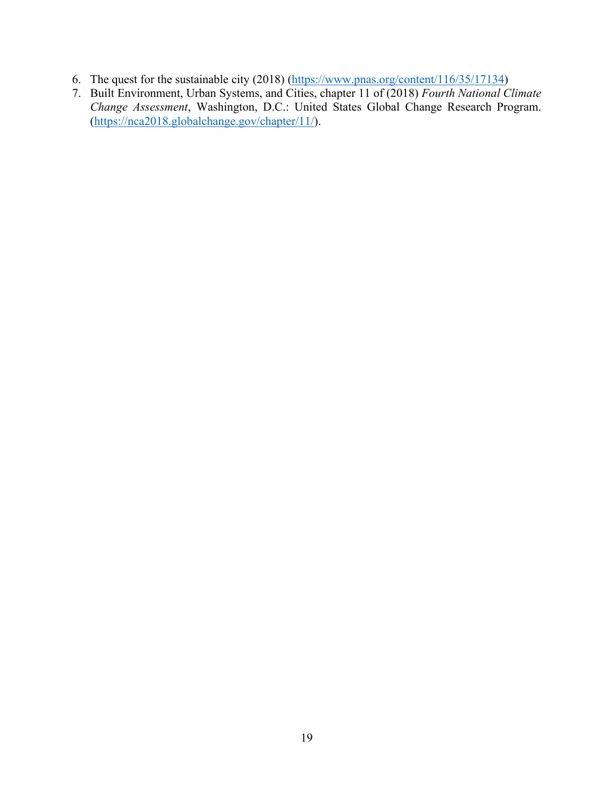- 6. The quest for the sustainable city (2018) [\(https://www.pnas.org/content/116/35/17134\)](https://www.pnas.org/content/116/35/17134)
- 7. Built Environment, Urban Systems, and Cities, chapter 11 of (2018) *Fourth National Climate Change Assessment*, Washington, D.C.: United States Global Change Research Program. [\(https://nca2018.globalchange.gov/chapter/11/\)](https://nca2018.globalchange.gov/chapter/11/).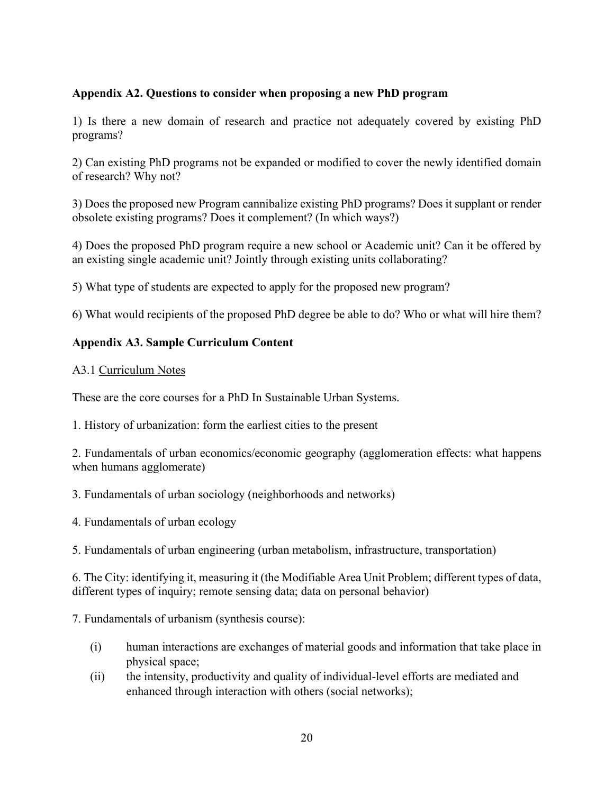### **Appendix A2. Questions to consider when proposing a new PhD program**

1) Is there a new domain of research and practice not adequately covered by existing PhD programs?

2) Can existing PhD programs not be expanded or modified to cover the newly identified domain of research? Why not?

3) Does the proposed new Program cannibalize existing PhD programs? Does it supplant or render obsolete existing programs? Does it complement? (In which ways?)

4) Does the proposed PhD program require a new school or Academic unit? Can it be offered by an existing single academic unit? Jointly through existing units collaborating?

5) What type of students are expected to apply for the proposed new program?

6) What would recipients of the proposed PhD degree be able to do? Who or what will hire them?

### **Appendix A3. Sample Curriculum Content**

### A3.1 Curriculum Notes

These are the core courses for a PhD In Sustainable Urban Systems.

1. History of urbanization: form the earliest cities to the present

2. Fundamentals of urban economics/economic geography (agglomeration effects: what happens when humans agglomerate)

3. Fundamentals of urban sociology (neighborhoods and networks)

4. Fundamentals of urban ecology

5. Fundamentals of urban engineering (urban metabolism, infrastructure, transportation)

6. The City: identifying it, measuring it (the Modifiable Area Unit Problem; different types of data, different types of inquiry; remote sensing data; data on personal behavior)

7. Fundamentals of urbanism (synthesis course):

- (i) human interactions are exchanges of material goods and information that take place in physical space;
- (ii) the intensity, productivity and quality of individual-level efforts are mediated and enhanced through interaction with others (social networks);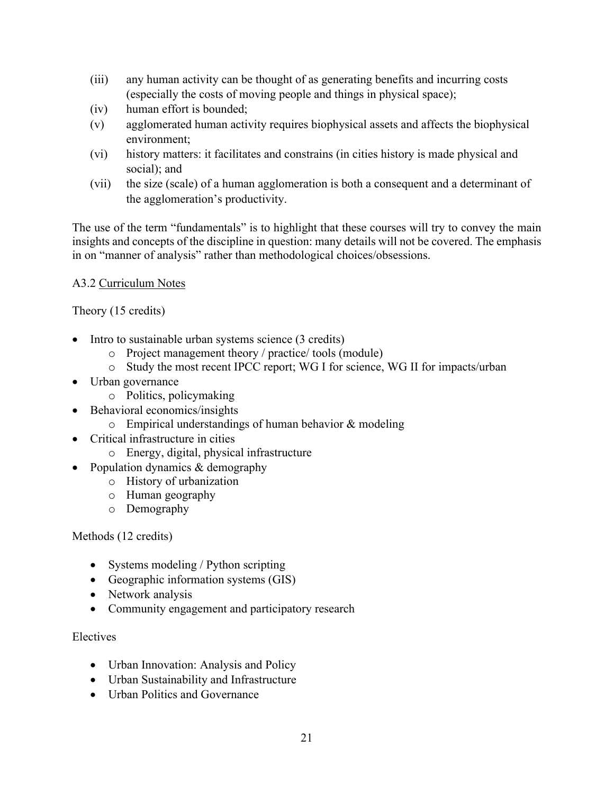- (iii) any human activity can be thought of as generating benefits and incurring costs (especially the costs of moving people and things in physical space);
- (iv) human effort is bounded;
- (v) agglomerated human activity requires biophysical assets and affects the biophysical environment;
- (vi) history matters: it facilitates and constrains (in cities history is made physical and social); and
- (vii) the size (scale) of a human agglomeration is both a consequent and a determinant of the agglomeration's productivity.

The use of the term "fundamentals" is to highlight that these courses will try to convey the main insights and concepts of the discipline in question: many details will not be covered. The emphasis in on "manner of analysis" rather than methodological choices/obsessions.

### A3.2 Curriculum Notes

Theory (15 credits)

- Intro to sustainable urban systems science (3 credits)
	- o Project management theory / practice/ tools (module)
	- o Study the most recent IPCC report; WG I for science, WG II for impacts/urban
- Urban governance
	- o Politics, policymaking
	- Behavioral economics/insights
		- $\circ$  Empirical understandings of human behavior & modeling
- Critical infrastructure in cities
	- o Energy, digital, physical infrastructure
- Population dynamics & demography
	- o History of urbanization
	- o Human geography
	- o Demography

### Methods (12 credits)

- Systems modeling / Python scripting
- Geographic information systems (GIS)
- Network analysis
- Community engagement and participatory research

### Electives

- Urban Innovation: Analysis and Policy
- Urban Sustainability and Infrastructure
- Urban Politics and Governance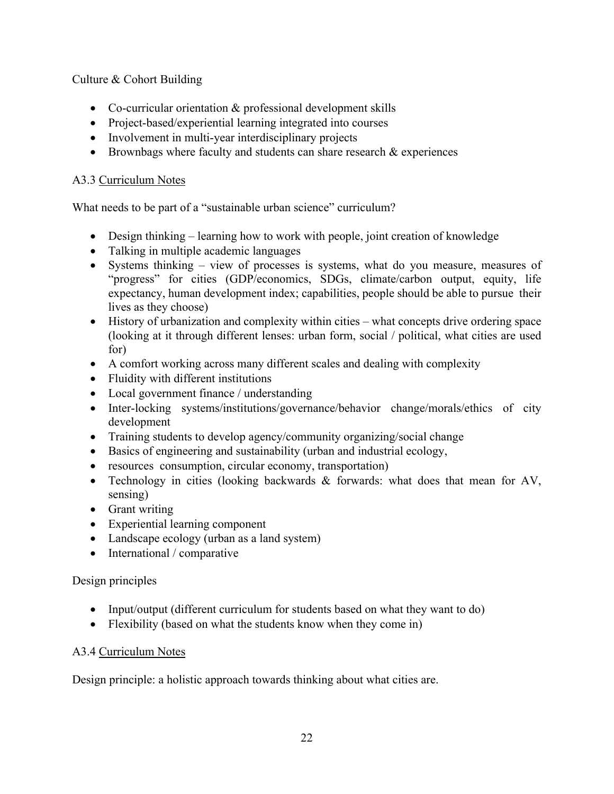Culture & Cohort Building

- Co-curricular orientation & professional development skills
- Project-based/experiential learning integrated into courses
- Involvement in multi-year interdisciplinary projects
- Brownbags where faculty and students can share research  $&$  experiences

## A3.3 Curriculum Notes

What needs to be part of a "sustainable urban science" curriculum?

- Design thinking learning how to work with people, joint creation of knowledge
- Talking in multiple academic languages
- Systems thinking view of processes is systems, what do you measure, measures of "progress" for cities (GDP/economics, SDGs, climate/carbon output, equity, life expectancy, human development index; capabilities, people should be able to pursue their lives as they choose)
- History of urbanization and complexity within cities what concepts drive ordering space (looking at it through different lenses: urban form, social / political, what cities are used for)
- A comfort working across many different scales and dealing with complexity
- Fluidity with different institutions
- Local government finance / understanding
- Inter-locking systems/institutions/governance/behavior change/morals/ethics of city development
- Training students to develop agency/community organizing/social change
- Basics of engineering and sustainability (urban and industrial ecology,
- resources consumption, circular economy, transportation)
- Technology in cities (looking backwards & forwards: what does that mean for AV, sensing)
- Grant writing
- Experiential learning component
- Landscape ecology (urban as a land system)
- International / comparative

## Design principles

- Input/output (different curriculum for students based on what they want to do)
- Flexibility (based on what the students know when they come in)

## A3.4 Curriculum Notes

Design principle: a holistic approach towards thinking about what cities are.